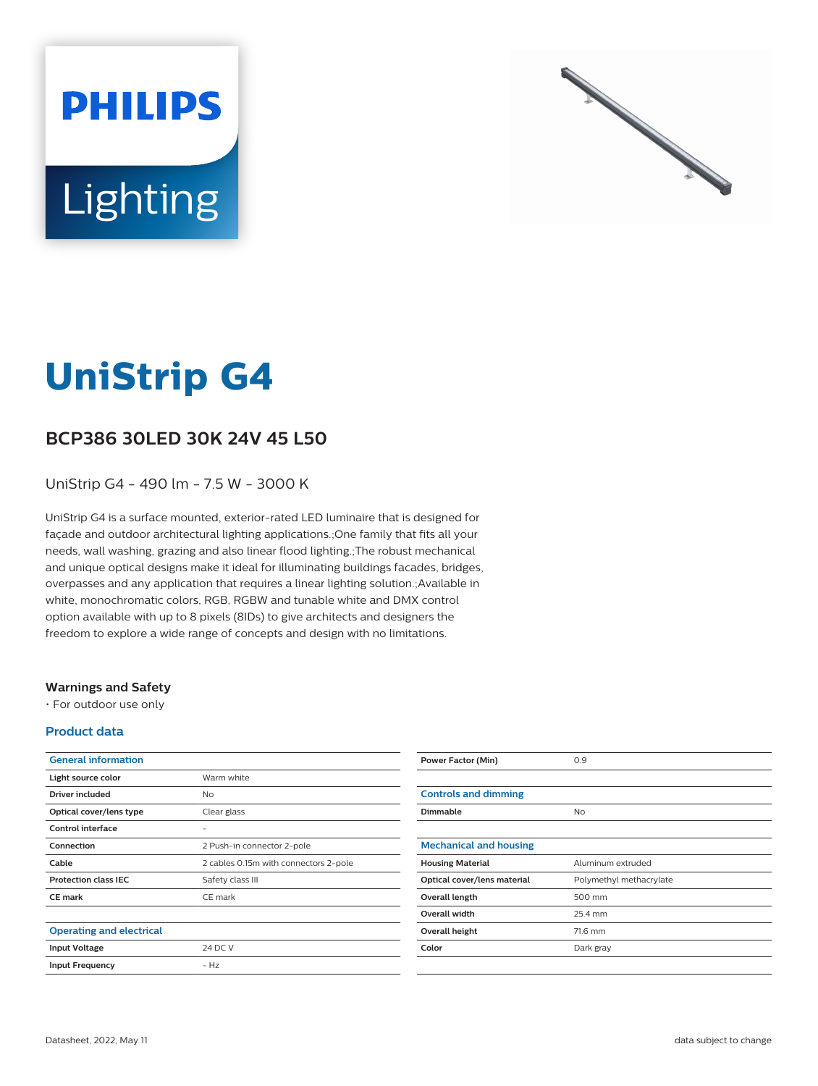



# **UniStrip G4**

## **BCP386 30LED 30K 24V 45 L50**

UniStrip G4 - 490 lm - 7.5 W - 3000 K

UniStrip G4 is a surface mounted, exterior-rated LED luminaire that is designed for façade and outdoor architectural lighting applications.;One family that fits all your needs, wall washing, grazing and also linear flood lighting.;The robust mechanical and unique optical designs make it ideal for illuminating buildings facades, bridges, overpasses and any application that requires a linear lighting solution.;Available in white, monochromatic colors, RGB, RGBW and tunable white and DMX control option available with up to 8 pixels (8IDs) to give architects and designers the freedom to explore a wide range of concepts and design with no limitations.

#### **Warnings and Safety**

• For outdoor use only

#### **Product data**

| Warm white                            |
|---------------------------------------|
| No                                    |
| Clear glass                           |
|                                       |
| 2 Push-in connector 2-pole            |
| 2 cables 0.15m with connectors 2-pole |
| Safety class III                      |
| CE mark                               |
|                                       |
|                                       |
| 24 DC V                               |
| $-Hz$                                 |
|                                       |

| <b>Power Factor (Min)</b>     | 0.9                     |
|-------------------------------|-------------------------|
|                               |                         |
| <b>Controls and dimming</b>   |                         |
| Dimmable                      | <b>No</b>               |
|                               |                         |
| <b>Mechanical and housing</b> |                         |
| <b>Housing Material</b>       | Aluminum extruded       |
| Optical cover/lens material   | Polymethyl methacrylate |
| Overall length                | 500 mm                  |
| <b>Overall width</b>          | 25.4 mm                 |
| Overall height                | 71.6 mm                 |
| Color                         | Dark gray               |
|                               |                         |